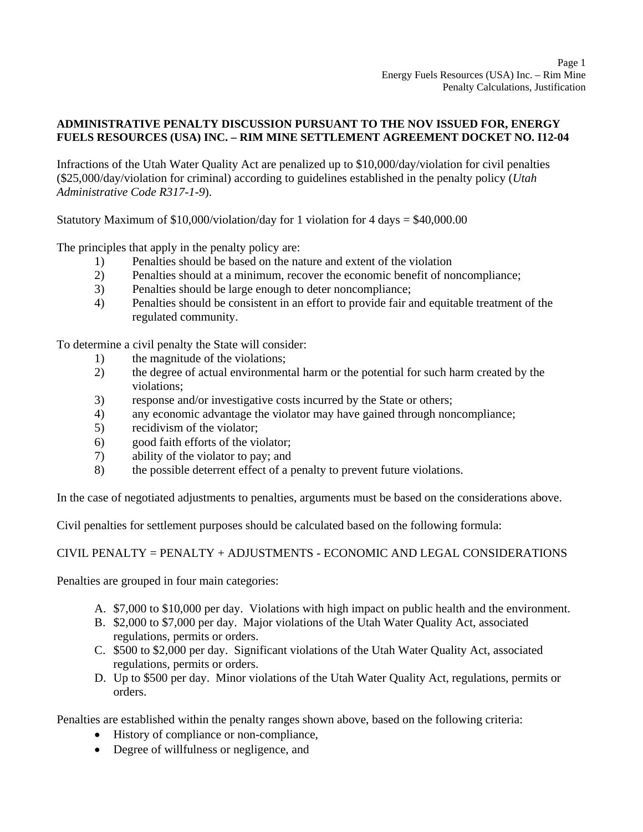## **ADMINISTRATIVE PENALTY DISCUSSION PURSUANT TO THE NOV ISSUED FOR, ENERGY FUELS RESOURCES (USA) INC. – RIM MINE SETTLEMENT AGREEMENT DOCKET NO. I12-04**

Infractions of the Utah Water Quality Act are penalized up to \$10,000/day/violation for civil penalties (\$25,000/day/violation for criminal) according to guidelines established in the penalty policy (*Utah Administrative Code R317-1-9*).

Statutory Maximum of  $$10,000/violation/day$  for 1 violation for 4 days =  $$40,000.00$ 

The principles that apply in the penalty policy are:

- 1) Penalties should be based on the nature and extent of the violation
- 2) Penalties should at a minimum, recover the economic benefit of noncompliance;
- 3) Penalties should be large enough to deter noncompliance;
- 4) Penalties should be consistent in an effort to provide fair and equitable treatment of the regulated community.

To determine a civil penalty the State will consider:

- 1) the magnitude of the violations;
- 2) the degree of actual environmental harm or the potential for such harm created by the violations;
- 3) response and/or investigative costs incurred by the State or others;
- 4) any economic advantage the violator may have gained through noncompliance;
- 5) recidivism of the violator;
- 6) good faith efforts of the violator;
- 7) ability of the violator to pay; and
- 8) the possible deterrent effect of a penalty to prevent future violations.

In the case of negotiated adjustments to penalties, arguments must be based on the considerations above.

Civil penalties for settlement purposes should be calculated based on the following formula:

## CIVIL PENALTY = PENALTY + ADJUSTMENTS - ECONOMIC AND LEGAL CONSIDERATIONS

Penalties are grouped in four main categories:

- A. \$7,000 to \$10,000 per day. Violations with high impact on public health and the environment.
- B. \$2,000 to \$7,000 per day. Major violations of the Utah Water Quality Act, associated regulations, permits or orders.
- C. \$500 to \$2,000 per day. Significant violations of the Utah Water Quality Act, associated regulations, permits or orders.
- D. Up to \$500 per day. Minor violations of the Utah Water Quality Act, regulations, permits or orders.

Penalties are established within the penalty ranges shown above, based on the following criteria:

- History of compliance or non-compliance,
- Degree of willfulness or negligence, and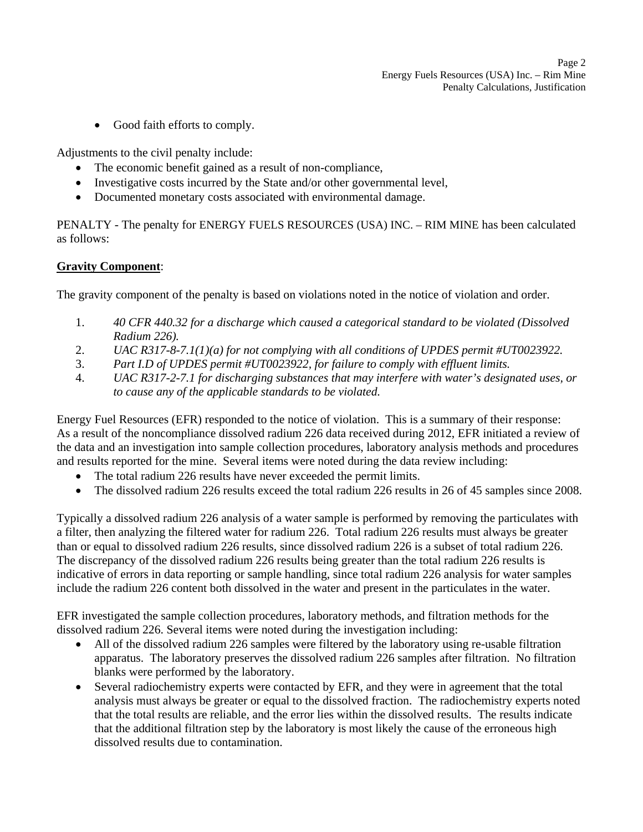• Good faith efforts to comply.

Adjustments to the civil penalty include:

- The economic benefit gained as a result of non-compliance,
- Investigative costs incurred by the State and/or other governmental level,
- Documented monetary costs associated with environmental damage.

PENALTY - The penalty for ENERGY FUELS RESOURCES (USA) INC. – RIM MINE has been calculated as follows:

## **Gravity Component**:

The gravity component of the penalty is based on violations noted in the notice of violation and order.

- 1. *40 CFR 440.32 for a discharge which caused a categorical standard to be violated (Dissolved Radium 226).*
- 2. *UAC R317-8-7.1(1)(a) for not complying with all conditions of UPDES permit #UT0023922.*
- 3. *Part I.D of UPDES permit #UT0023922, for failure to comply with effluent limits.*
- 4. *UAC R317-2-7.1 for discharging substances that may interfere with water's designated uses, or to cause any of the applicable standards to be violated.*

Energy Fuel Resources (EFR) responded to the notice of violation. This is a summary of their response: As a result of the noncompliance dissolved radium 226 data received during 2012, EFR initiated a review of the data and an investigation into sample collection procedures, laboratory analysis methods and procedures and results reported for the mine. Several items were noted during the data review including:

- The total radium 226 results have never exceeded the permit limits.
- The dissolved radium 226 results exceed the total radium 226 results in 26 of 45 samples since 2008.

Typically a dissolved radium 226 analysis of a water sample is performed by removing the particulates with a filter, then analyzing the filtered water for radium 226. Total radium 226 results must always be greater than or equal to dissolved radium 226 results, since dissolved radium 226 is a subset of total radium 226. The discrepancy of the dissolved radium 226 results being greater than the total radium 226 results is indicative of errors in data reporting or sample handling, since total radium 226 analysis for water samples include the radium 226 content both dissolved in the water and present in the particulates in the water.

EFR investigated the sample collection procedures, laboratory methods, and filtration methods for the dissolved radium 226. Several items were noted during the investigation including:

- All of the dissolved radium 226 samples were filtered by the laboratory using re-usable filtration apparatus. The laboratory preserves the dissolved radium 226 samples after filtration. No filtration blanks were performed by the laboratory.
- Several radiochemistry experts were contacted by EFR, and they were in agreement that the total analysis must always be greater or equal to the dissolved fraction. The radiochemistry experts noted that the total results are reliable, and the error lies within the dissolved results. The results indicate that the additional filtration step by the laboratory is most likely the cause of the erroneous high dissolved results due to contamination.